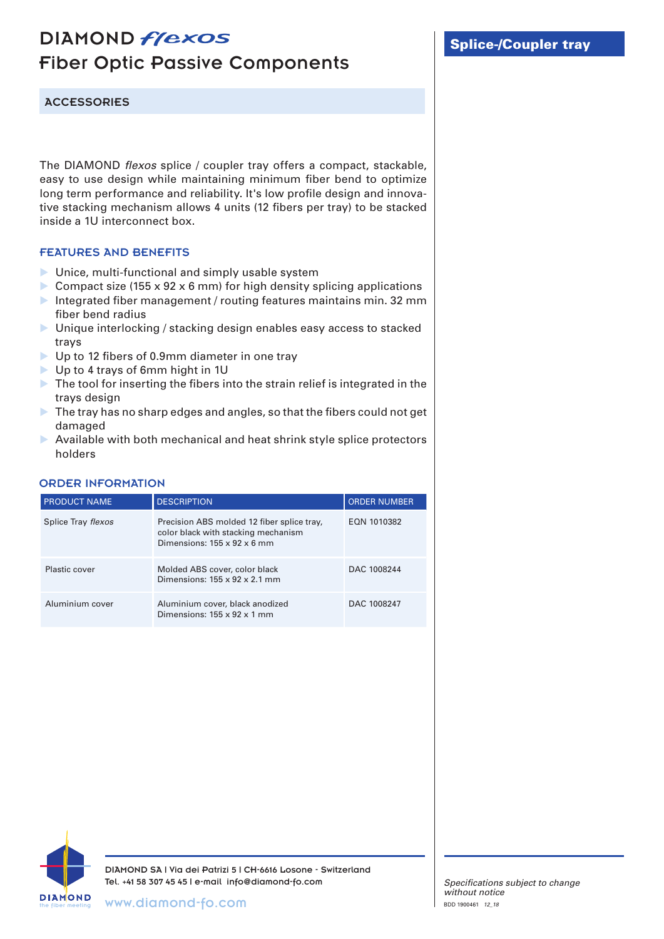## DIAMOND *flexos* Fiber Optic Passive Components

**ACCESSORIES** 

The DIAMOND *flexos* splice / coupler tray offers a compact, stackable, easy to use design while maintaining minimum fiber bend to optimize long term performance and reliability. It's low profile design and innovative stacking mechanism allows 4 units (12 fibers per tray) to be stacked inside a 1U interconnect box.

## FEATURES AND BENEFITS

- **IDUNICE, multi-functional and simply usable system**
- Compact size (155 x 92 x 6 mm) for high density splicing applications
- Integrated fiber management / routing features maintains min. 32 mm fiber bend radius
- ▶ Unique interlocking / stacking design enables easy access to stacked trays
- ▶ Up to 12 fibers of 0.9mm diameter in one tray
- Up to 4 trays of 6mm hight in 1U
- The tool for inserting the fibers into the strain relief is integrated in the trays design
- The tray has no sharp edges and angles, so that the fibers could not get damaged
- $\triangleright$  Available with both mechanical and heat shrink style splice protectors holders

## ORDER INFORMATION

| <b>PRODUCT NAME</b> | <b>DESCRIPTION</b>                                                                                                           | <b>ORDER NUMBER</b> |
|---------------------|------------------------------------------------------------------------------------------------------------------------------|---------------------|
| Splice Tray flexos  | Precision ABS molded 12 fiber splice tray,<br>color black with stacking mechanism<br>Dimensions: $155 \times 92 \times 6$ mm | EQN 1010382         |
| Plastic cover       | Molded ABS cover, color black<br>Dimensions: $155 \times 92 \times 2.1$ mm                                                   | DAC 1008244         |
| Aluminium cover     | Aluminium cover, black anodized<br>Dimensions: $155 \times 92 \times 1$ mm                                                   | DAC 1008247         |



DIAMOND SA | Via dei Patrizi 5 | CH-6616 Losone - Switzerland Tel. +41 58 307 45 45 | e-mail info@diamond-fo.com